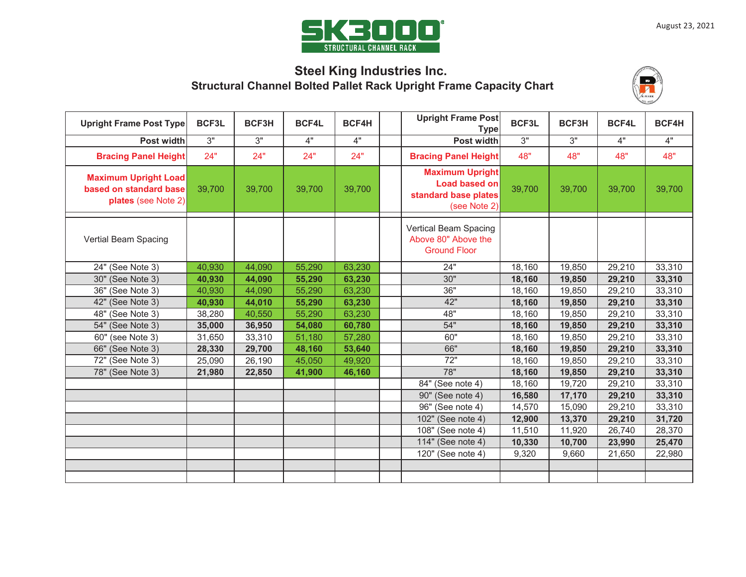

# **Steel King Industries Inc. Structural Channel Bolted Pallet Rack Upright Frame Capacity Chart**



| <b>Upright Frame Post Type</b>                                               | BCF3L  | BCF3H  | <b>BCF4L</b> | <b>BCF4H</b> | <b>Upright Frame Post</b><br><b>Type</b>                                               | BCF3L  | BCF3H  | <b>BCF4L</b> | BCF4H  |
|------------------------------------------------------------------------------|--------|--------|--------------|--------------|----------------------------------------------------------------------------------------|--------|--------|--------------|--------|
| Post width                                                                   | 3"     | 3"     | 4"           | 4"           | Post width                                                                             | 3"     | 3"     | 4"           | 4"     |
| <b>Bracing Panel Height</b>                                                  | 24"    | 24"    | 24"          | 24"          | <b>Bracing Panel Height</b>                                                            | 48"    | 48"    | 48"          | 48"    |
| <b>Maximum Upright Load</b><br>based on standard base<br>plates (see Note 2) | 39,700 | 39,700 | 39,700       | 39,700       | <b>Maximum Upright</b><br><b>Load based on</b><br>standard base plates<br>(see Note 2) | 39,700 | 39,700 | 39,700       | 39,700 |
| Vertial Beam Spacing                                                         |        |        |              |              | Vertical Beam Spacing<br>Above 80" Above the<br><b>Ground Floor</b>                    |        |        |              |        |
| 24" (See Note 3)                                                             | 40,930 | 44,090 | 55,290       | 63,230       | 24"                                                                                    | 18,160 | 19,850 | 29,210       | 33,310 |
| 30" (See Note 3)                                                             | 40,930 | 44,090 | 55,290       | 63,230       | 30"                                                                                    | 18,160 | 19,850 | 29,210       | 33,310 |
| 36" (See Note 3)                                                             | 40,930 | 44,090 | 55,290       | 63,230       | 36"                                                                                    | 18,160 | 19,850 | 29,210       | 33,310 |
| 42" (See Note 3)                                                             | 40,930 | 44,010 | 55,290       | 63,230       | 42"                                                                                    | 18,160 | 19,850 | 29,210       | 33,310 |
| 48" (See Note 3)                                                             | 38,280 | 40,550 | 55,290       | 63,230       | 48"                                                                                    | 18,160 | 19,850 | 29,210       | 33,310 |
| 54" (See Note 3)                                                             | 35,000 | 36,950 | 54,080       | 60,780       | 54"                                                                                    | 18,160 | 19,850 | 29,210       | 33,310 |
| $\overline{60}$ " (see Note 3)                                               | 31,650 | 33,310 | 51,180       | 57,280       | 60"                                                                                    | 18,160 | 19,850 | 29,210       | 33,310 |
| 66" (See Note 3)                                                             | 28,330 | 29,700 | 48,160       | 53,640       | 66"                                                                                    | 18,160 | 19,850 | 29,210       | 33,310 |
| 72" (See Note 3)                                                             | 25,090 | 26,190 | 45,050       | 49,920       | 72"                                                                                    | 18,160 | 19,850 | 29,210       | 33,310 |
| 78" (See Note 3)                                                             | 21,980 | 22,850 | 41,900       | 46,160       | 78"                                                                                    | 18,160 | 19,850 | 29,210       | 33,310 |
|                                                                              |        |        |              |              | 84" (See note 4)                                                                       | 18,160 | 19,720 | 29,210       | 33,310 |
|                                                                              |        |        |              |              | 90" (See note 4)                                                                       | 16,580 | 17,170 | 29,210       | 33,310 |
|                                                                              |        |        |              |              | 96" (See note 4)                                                                       | 14,570 | 15,090 | 29,210       | 33,310 |
|                                                                              |        |        |              |              | 102" (See note 4)                                                                      | 12,900 | 13,370 | 29,210       | 31,720 |
|                                                                              |        |        |              |              | 108" (See note 4)                                                                      | 11,510 | 11,920 | 26,740       | 28,370 |
|                                                                              |        |        |              |              | 114" (See note 4)                                                                      | 10,330 | 10,700 | 23,990       | 25,470 |
|                                                                              |        |        |              |              | 120" (See note 4)                                                                      | 9,320  | 9,660  | 21,650       | 22,980 |
|                                                                              |        |        |              |              |                                                                                        |        |        |              |        |
|                                                                              |        |        |              |              |                                                                                        |        |        |              |        |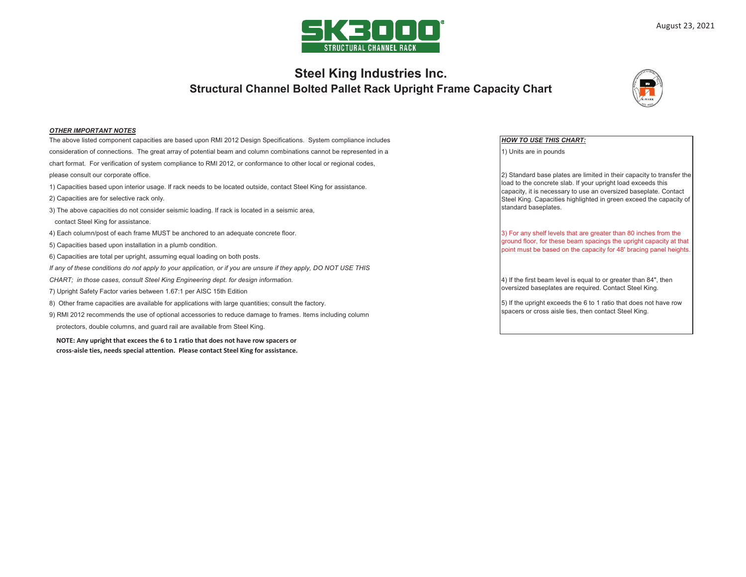

## **Structural Channel Bolted Pallet Rack Upright Frame Capacity Chart Steel King Industries Inc.**



### *OTHER IMPORTANT NOTES*

The above listed component capacities are based upon RMI 2012 Design Specifications. System compliance includes *HOW TO USE THIS CHART:* consideration of connections. The great array of potential beam and column combinations cannot be represented in a chart format. For verification of system compliance to RMI 2012, or conformance to other local or regional codes, please consult our corporate office. 1) Capacities based upon interior usage. If rack needs to be located outside, contact Steel King for assistance. 2) Capacities are for selective rack only.

- 3) The above capacities do not consider seismic loading. If rack is located in a seismic area,
- contact Steel King for assistance.
- 4) Each column/post of each frame MUST be anchored to an adequate concrete floor.
- 5) Capacities based upon installation in a plumb condition.
- 6) Capacities are total per upright, assuming equal loading on both posts.
- *If any of these conditions do not apply to your application, or if you are unsure if they apply, DO NOT USE THIS*
- *CHART; in those cases, consult Steel King Engineering dept. for design information.*
- 7) Upright Safety Factor varies between 1.67:1 per AISC 15th Edition
- 8) Other frame capacities are available for applications with large quantities; consult the factory.
- 9) RMI 2012 recommends the use of optional accessories to reduce damage to frames. Items including column protectors, double columns, and guard rail are available from Steel King.

**NOTE: Any upright that excees the 6 to 1 ratio that does not have row spacers or cross-aisle ties, needs special attention. Please contact Steel King for assistance.**

1) Units are in pounds

2) Standard base plates are limited in their capacity to transfer the load to the concrete slab. If your upright load exceeds this capacity, it is necessary to use an oversized baseplate. Contact Steel King. Capacities highlighted in green exceed the capacity of standard baseplates.

3) For any shelf levels that are greater than 80 inches from the ground floor, for these beam spacings the upright capacity at that point must be based on the capacity for 48' bracing panel heights.

4) If the first beam level is equal to or greater than 84", then oversized baseplates are required. Contact Steel King.

5) If the upright exceeds the 6 to 1 ratio that does not have row spacers or cross aisle ties, then contact Steel King.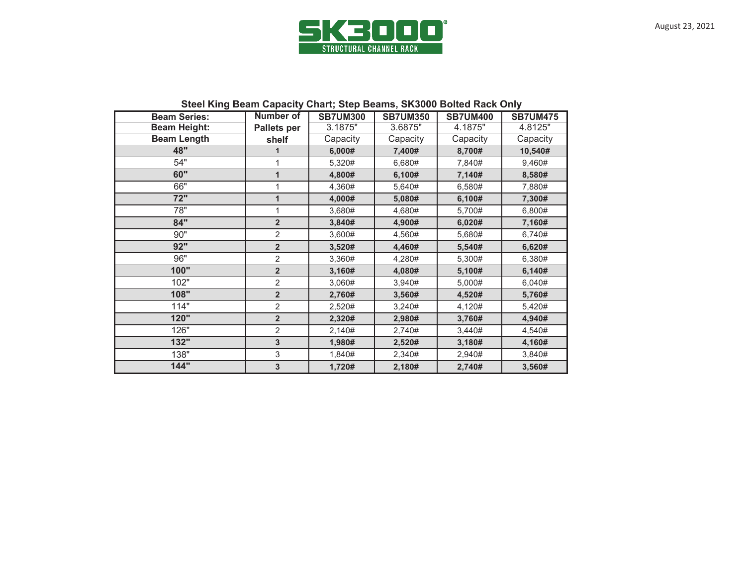

| <b>Beam Series:</b> | <b>Number of</b>   | <b>SB7UM300</b> | <b>SB7UM350</b> | <b>SB7UM400</b> | <b>SB7UM475</b> |  |
|---------------------|--------------------|-----------------|-----------------|-----------------|-----------------|--|
| <b>Beam Height:</b> | <b>Pallets per</b> | 3.1875"         | 3.6875"         | 4.1875"         | 4.8125"         |  |
| <b>Beam Length</b>  | shelf              | Capacity        | Capacity        | Capacity        | Capacity        |  |
| 48"                 | 1                  | 6,000#          | 7,400#          | 8,700#          | 10,540#         |  |
| 54"                 | 1                  | 5,320#          | 6,680#          | 7,840#          | 9,460#          |  |
| 60"                 | $\overline{1}$     | 4,800#          | 6,100#          | 7,140#          | 8,580#          |  |
| 66"                 | 1                  | 4,360#          | 5,640#          | 6,580#          | 7,880#          |  |
| 72"                 | $\mathbf{1}$       | 4,000#          | 5,080#          | 6,100#          | 7,300#          |  |
| 78"                 | 1                  | 3,680#          | 4,680#          | 5,700#          | 6,800#          |  |
| 84"                 | $\overline{2}$     | 3,840#          | 4,900#          | 6,020#          | 7,160#          |  |
| 90"                 | 2                  | 3,600#          | 4,560#          | 5,680#          | 6,740#          |  |
| 92"                 | $\overline{2}$     | 3,520#          | 4,460#          | 5,540#          | 6,620#          |  |
| 96"                 | 2                  | 3,360#          | 4,280#          | 5,300#          | 6,380#          |  |
| 100"                | $\overline{2}$     | 3,160#          | 4,080#          | 5,100#          | 6,140#          |  |
| 102"                | $\overline{2}$     | 3,060#          | 3,940#          | 5,000#          | 6,040#          |  |
| 108"                | $\overline{2}$     | 2,760#          | 3,560#          | 4,520#          | 5,760#          |  |
| 114"                | $\overline{2}$     | 2,520#          | 3,240#          | 4,120#          | 5,420#          |  |
| 120"                | $\overline{2}$     | 2,320#          | 2,980#          | 3,760#          | 4,940#          |  |
| 126"                | 2                  | 2,140#          | 2,740#          | 3,440#          | 4,540#          |  |
| 132"                | 3                  | 1,980#          | 2,520#          | 3,180#          | 4,160#          |  |
| 138"                | 3                  | 1,840#          | 2,340#          | 2,940#          | 3,840#          |  |
| 144"                | 3                  | 1,720#          | 2,180#          | 2,740#          | 3,560#          |  |

## **Steel King Beam Capacity Chart; Step Beams, SK3000 Bolted Rack Only**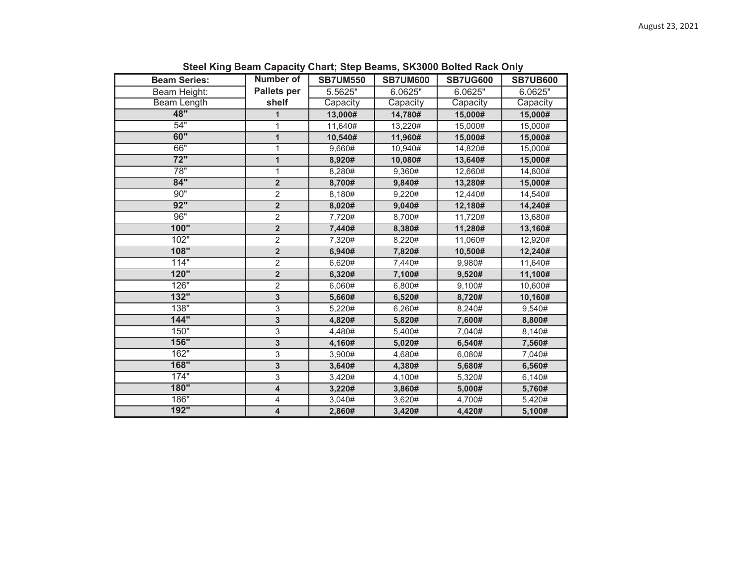| <b>Beam Series:</b> | Number of               | <b>SB7UM550</b> | <b>SB7UM600</b> | <b>SB7UG600</b> | <b>SB7UB600</b> |  |
|---------------------|-------------------------|-----------------|-----------------|-----------------|-----------------|--|
| Beam Height:        | <b>Pallets per</b>      | 5.5625"         | 6.0625"         | 6.0625"         | 6.0625"         |  |
| <b>Beam Length</b>  | shelf                   | Capacity        | Capacity        | Capacity        | Capacity        |  |
| 48"                 | 1                       | 13,000#         | 14,780#         | 15,000#         | 15,000#         |  |
| 54"                 | 1                       | 11,640#         | 13,220#         | 15,000#         | 15,000#         |  |
| 60"                 | $\mathbf{1}$            | 10,540#         | 11,960#         | 15,000#         | 15,000#         |  |
| 66"                 | $\mathbf{1}$            | 9,660#          | 10,940#         | 14,820#         | 15,000#         |  |
| $\overline{72"}$    | $\mathbf{1}$            | 8,920#          | 10,080#         | 13,640#         | 15,000#         |  |
| $\overline{78"}$    | 1                       | 8,280#          | 9,360#          | 12,660#         | 14,800#         |  |
| 84"                 | $\overline{\mathbf{2}}$ | 8,700#          | 9,840#          | 13,280#         | 15,000#         |  |
| 90"                 | $\overline{2}$          | 8,180#          | 9,220#          | 12,440#         | 14,540#         |  |
| 92"                 | $\overline{2}$          | 8,020#          | 9,040#          | 12,180#         | 14,240#         |  |
| 96"                 | $\overline{2}$          | 7,720#          | 8,700#          | 11,720#         | 13,680#         |  |
| 100"                | $\overline{\mathbf{2}}$ | 7,440#          | 8,380#          | 11,280#         | 13,160#         |  |
| 102"                | $\overline{2}$          | 7,320#          | 8,220#          | 11,060#         | 12,920#         |  |
| 108"                | $\overline{2}$          | 6,940#          | 7,820#          | 10,500#         | 12,240#         |  |
| 114"                | $\overline{2}$          | 6,620#          | 7,440#          | 9,980#          | 11,640#         |  |
| 120"                | $\overline{\mathbf{2}}$ | 6,320#          | 7,100#          | 9,520#          | 11,100#         |  |
| 126"                | $\overline{2}$          | 6,060#          | 6,800#          | 9,100#          | 10,600#         |  |
| 132"                | 3                       | 5,660#          | 6,520#          | 8,720#          | 10,160#         |  |
| 138"                | 3                       | 5,220#          | 6,260#          | 8,240#          | 9,540#          |  |
| 144"                | 3                       | 4,820#          | 5,820#          | 7,600#          | 8,800#          |  |
| 150"                | 3                       | 4,480#          | 5,400#          | 7,040#          | 8,140#          |  |
| 156"                | 3                       | 4,160#          | 5,020#          | 6,540#          | 7,560#          |  |
| 162"                | 3                       | 3,900#          | 4,680#          | 6,080#          | 7,040#          |  |
| 168"                | 3                       | 3,640#          | 4,380#          | 5,680#          | 6,560#          |  |
| 174"                | 3                       | 3,420#          | 4,100#          | 5,320#          | 6,140#          |  |
| 180"                | $\overline{\mathbf{4}}$ | 3,220#          | 3,860#          | 5,000#          | 5,760#          |  |
| 186"                | 4                       | 3,040#          | 3,620#          | 4,700#          | 5,420#          |  |
| 192"                | $\overline{\mathbf{4}}$ | 2,860#          | 3,420#          | 4,420#          | 5,100#          |  |

 **Steel King Beam Capacity Chart; Step Beams, SK3000 Bolted Rack Only**